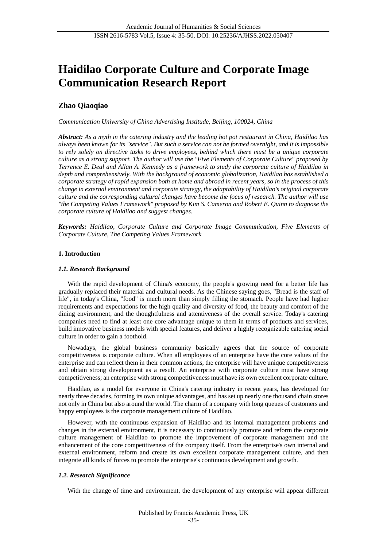# **Haidilao Corporate Culture and Corporate Image Communication Research Report**

# **Zhao Qiaoqiao**

*Communication University of China Advertising Institude, Beijing, 100024, China*

*Abstract: As a myth in the catering industry and the leading hot pot restaurant in China, Haidilao has always been known for its "service". But such a service can not be formed overnight, and it is impossible to rely solely on directive tasks to drive employees, behind which there must be a unique corporate culture as a strong support. The author will use the "Five Elements of Corporate Culture" proposed by Terrence E. Deal and Allan A. Kennedy as a framework to study the corporate culture of Haidilao in depth and comprehensively. With the background of economic globalization, Haidilao has established a corporate strategy of rapid expansion both at home and abroad in recent years, so in the process of this change in external environment and corporate strategy, the adaptability of Haidilao's original corporate culture and the corresponding cultural changes have become the focus of research. The author will use "the Competing Values Framework" proposed by Kim S. Cameron and Robert E. Quinn to diagnose the corporate culture of Haidilao and suggest changes.*

*Keywords: Haidilao, Corporate Culture and Corporate Image Communication, Five Elements of Corporate Culture, The Competing Values Framework*

## **1. Introduction**

#### *1.1. Research Background*

With the rapid development of China's economy, the people's growing need for a better life has gradually replaced their material and cultural needs. As the Chinese saying goes, "Bread is the staff of life", in today's China, "food" is much more than simply filling the stomach. People have had higher requirements and expectations for the high quality and diversity of food, the beauty and comfort of the dining environment, and the thoughtfulness and attentiveness of the overall service. Today's catering companies need to find at least one core advantage unique to them in terms of products and services, build innovative business models with special features, and deliver a highly recognizable catering social culture in order to gain a foothold.

Nowadays, the global business community basically agrees that the source of corporate competitiveness is corporate culture. When all employees of an enterprise have the core values of the enterprise and can reflect them in their common actions, the enterprise will have unique competitiveness and obtain strong development as a result. An enterprise with corporate culture must have strong competitiveness; an enterprise with strong competitiveness must have its own excellent corporate culture.

Haidilao, as a model for everyone in China's catering industry in recent years, has developed for nearly three decades, forming its own unique advantages, and has set up nearly one thousand chain stores not only in China but also around the world. The charm of a company with long queues of customers and happy employees is the corporate management culture of Haidilao.

However, with the continuous expansion of Haidilao and its internal management problems and changes in the external environment, it is necessary to continuously promote and reform the corporate culture management of Haidilao to promote the improvement of corporate management and the enhancement of the core competitiveness of the company itself. From the enterprise's own internal and external environment, reform and create its own excellent corporate management culture, and then integrate all kinds of forces to promote the enterprise's continuous development and growth.

#### *1.2. Research Significance*

With the change of time and environment, the development of any enterprise will appear different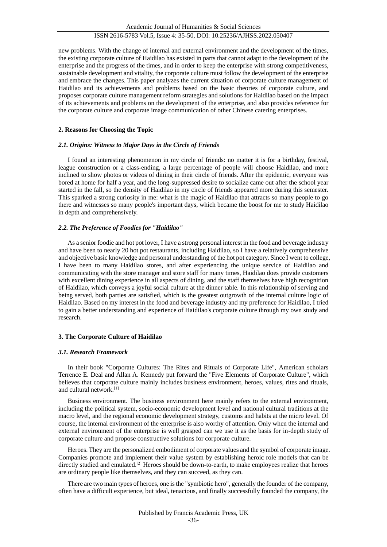new problems. With the change of internal and external environment and the development of the times, the existing corporate culture of Haidilao has existed in parts that cannot adapt to the development of the enterprise and the progress of the times, and in order to keep the enterprise with strong competitiveness, sustainable development and vitality, the corporate culture must follow the development of the enterprise and embrace the changes. This paper analyzes the current situation of corporate culture management of Haidilao and its achievements and problems based on the basic theories of corporate culture, and proposes corporate culture management reform strategies and solutions for Haidilao based on the impact of its achievements and problems on the development of the enterprise, and also provides reference for the corporate culture and corporate image communication of other Chinese catering enterprises.

## **2. Reasons for Choosing the Topic**

## *2.1. Origins: Witness to Major Days in the Circle of Friends*

I found an interesting phenomenon in my circle of friends: no matter it is for a birthday, festival, league construction or a class-ending, a large percentage of people will choose Haidilao, and more inclined to show photos or videos of dining in their circle of friends. After the epidemic, everyone was bored at home for half a year, and the long-suppressed desire to socialize came out after the school year started in the fall, so the density of Haidilao in my circle of friends appeared more during this semester. This sparked a strong curiosity in me: what is the magic of Haidilao that attracts so many people to go there and witnesses so many people's important days, which became the boost for me to study Haidilao in depth and comprehensively.

## *2.2. The Preference of Foodies for "Haidilao"*

As a senior foodie and hot pot lover, I have a strong personal interest in the food and beverage industry and have been to nearly 20 hot pot restaurants, including Haidilao, so I have a relatively comprehensive and objective basic knowledge and personal understanding of the hot pot category. Since I went to college, I have been to many Haidilao stores, and after experiencing the unique service of Haidilao and communicating with the store manager and store staff for many times, Haidilao does provide customers with excellent dining experience in all aspects of dining, and the staff themselves have high recognition of Haidilao, which conveys a joyful social culture at the dinner table. In this relationship of serving and being served, both parties are satisfied, which is the greatest outgrowth of the internal culture logic of Haidilao. Based on my interest in the food and beverage industry and my preference for Haidilao, I tried to gain a better understanding and experience of Haidilao's corporate culture through my own study and research.

#### **3. The Corporate Culture of Haidilao**

#### *3.1. Research Framework*

In their book "Corporate Cultures: The Rites and Rituals of Corporate Life", American scholars Terrence E. Deal and Allan A. Kennedy put forward the "Five Elements of Corporate Culture", which believes that corporate culture mainly includes business environment, heroes, values, rites and rituals, and cultural network.[1]

Business environment. The business environment here mainly refers to the external environment, including the political system, socio-economic development level and national cultural traditions at the macro level, and the regional economic development strategy, customs and habits at the micro level. Of course, the internal environment of the enterprise is also worthy of attention. Only when the internal and external environment of the enterprise is well grasped can we use it as the basis for in-depth study of corporate culture and propose constructive solutions for corporate culture.

Heroes. They are the personalized embodiment of corporate values and the symbol of corporate image. Companies promote and implement their value system by establishing heroic role models that can be directly studied and emulated.<sup>[2]</sup> Heroes should be down-to-earth, to make employees realize that heroes are ordinary people like themselves, and they can succeed, as they can.

There are two main types of heroes, one is the "symbiotic hero", generally the founder of the company, often have a difficult experience, but ideal, tenacious, and finally successfully founded the company, the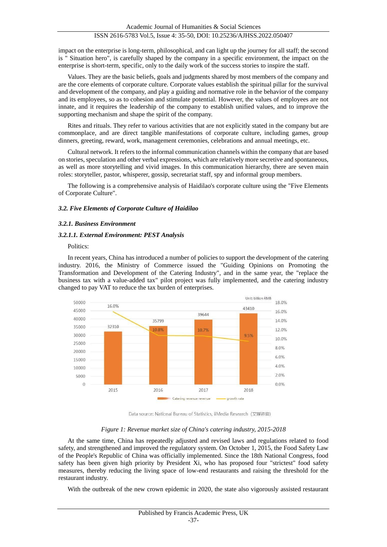impact on the enterprise is long-term, philosophical, and can light up the journey for all staff; the second is " Situation hero", is carefully shaped by the company in a specific environment, the impact on the enterprise is short-term, specific, only to the daily work of the success stories to inspire the staff.

Values. They are the basic beliefs, goals and judgments shared by most members of the company and are the core elements of corporate culture. Corporate values establish the spiritual pillar for the survival and development of the company, and play a guiding and normative role in the behavior of the company and its employees, so as to cohesion and stimulate potential. However, the values of employees are not innate, and it requires the leadership of the company to establish unified values, and to improve the supporting mechanism and shape the spirit of the company.

Rites and rituals. They refer to various activities that are not explicitly stated in the company but are commonplace, and are direct tangible manifestations of corporate culture, including games, group dinners, greeting, reward, work, management ceremonies, celebrations and annual meetings, etc.

Cultural network. It refers to the informal communication channels within the company that are based on stories, speculation and other verbal expressions, which are relatively more secretive and spontaneous, as well as more storytelling and vivid images. In this communication hierarchy, there are seven main roles: storyteller, pastor, whisperer, gossip, secretariat staff, spy and informal group members.

The following is a comprehensive analysis of Haidilao's corporate culture using the "Five Elements of Corporate Culture".

#### *3.2. Five Elements of Corporate Culture of Haidilao*

#### *3.2.1. Business Environment*

#### *3.2.1.1. External Environment: PEST Analysis*

#### Politics:

In recent years, China has introduced a number of policies to support the development of the catering industry. 2016, the Ministry of Commerce issued the "Guiding Opinions on Promoting the Transformation and Development of the Catering Industry", and in the same year, the "replace the business tax with a value-added tax" pilot project was fully implemented, and the catering industry changed to pay VAT to reduce the tax burden of enterprises.



Data source: National Bureau of Statistics, iiMedia Research (艾媒咨询)

#### *Figure 1: Revenue market size of China's catering industry, 2015-2018*

At the same time, China has repeatedly adjusted and revised laws and regulations related to food safety, and strengthened and improved the regulatory system. On October 1, 2015, the Food Safety Law of the People's Republic of China was officially implemented. Since the 18th National Congress, food safety has been given high priority by President Xi, who has proposed four "strictest" food safety measures, thereby reducing the living space of low-end restaurants and raising the threshold for the restaurant industry.

With the outbreak of the new crown epidemic in 2020, the state also vigorously assisted restaurant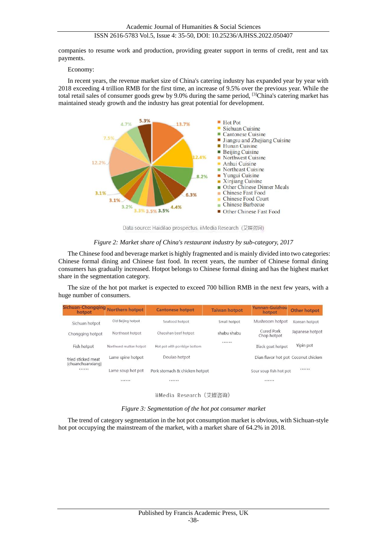companies to resume work and production, providing greater support in terms of credit, rent and tax payments.

#### Economy:

In recent years, the revenue market size of China's catering industry has expanded year by year with 2018 exceeding 4 trillion RMB for the first time, an increase of 9.5% over the previous year. While the total retail sales of consumer goods grew by 9.0% during the same period, [3]China's catering market has maintained steady growth and the industry has great potential for development.



Data source: Haidilao prospectus, iiMedia Research (艾媒咨询)

#### *Figure 2: Market share of China's restaurant industry by sub-category, 2017*

The Chinese food and beverage market is highly fragmented and is mainly divided into two categories: Chinese formal dining and Chinese fast food. In recent years, the number of Chinese formal dining consumers has gradually increased. Hotpot belongs to Chinese formal dining and has the highest market share in the segmentation category.

The size of the hot pot market is expected to exceed 700 billion RMB in the next few years, with a huge number of consumers.

| Sichuan-Chongging<br>hotpot                 | Northern hotpot         | <b>Cantonese hotpot</b>             | <b>Taiwan hotpot</b> | Yunnan-Guizhou<br>hotpot            | <b>Other hotpot</b> |
|---------------------------------------------|-------------------------|-------------------------------------|----------------------|-------------------------------------|---------------------|
| Sichuan hotpot                              | Old Beijing hotpot      | Seafood hotpot                      | Small hotpot         | Mushroom hotpot                     | Korean hotpot       |
| Northeast hotpot<br>Chongging hotpot        |                         | shabu shabu<br>Chaoshan beef hotpot |                      | Cured Pork<br>Chop hotpot           | Japanese hotpot     |
| Fish hotpot                                 | Northwest mutton hotpot | Hot pot with porridge bottom        |                      | Black goat hotpot                   | Yipin pot           |
| fried sticked meat<br>(chuanchuanxiang)<br> | Lame spine hotpot       | Doulao hotpot                       |                      | Dian flavor hot pot Coconut chicken |                     |
|                                             | Lame soup hot pot       | Pork stomach & chicken hotpot       |                      | Sour soup fish hot pot              |                     |
|                                             |                         |                                     |                      | .                                   |                     |

iiMedia Research (艾媒咨询)

*Figure 3: Segmentation of the hot pot consumer market*

The trend of category segmentation in the hot pot consumption market is obvious, with Sichuan-style hot pot occupying the mainstream of the market, with a market share of 64.2% in 2018.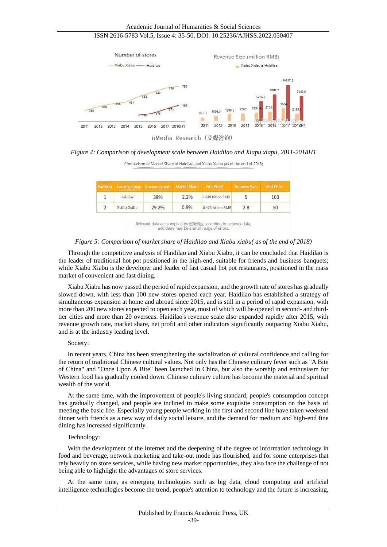

iiMedia Research (艾媒咨询)

*Figure 4: Comparison of development scale between Haidilao and Xiapu xiapu, 2011-2018H1*

 $\mathbf{I}$ 

| Comparison of Market Share of Haidilao and Xiabu Xiabu (as of the end of 2018) |             |                               |                     |                   |                      |                   |  |  |  |
|--------------------------------------------------------------------------------|-------------|-------------------------------|---------------------|-------------------|----------------------|-------------------|--|--|--|
| Ranking                                                                        |             | Catering Group Revenue Growth | <b>Market Share</b> | <b>Net Profit</b> | <b>Turnover Rate</b> | <b>Unit Price</b> |  |  |  |
|                                                                                | Haidilao    | 38%                           | $2.2\%$             | 1.649 billion RMB |                      | 100               |  |  |  |
|                                                                                | Xiabu Xiabu | 29.2%                         | 0.8%                | 0.475 billion RMB | 2.8                  | 50                |  |  |  |

Relevant data are compiled by 蛋解创业 according to network data,<br>and there may be a small range of errors.

## *Figure 5: Comparison of market share of Haidilao and Xiabu xiabu( as of the end of 2018)*

Through the competitive analysis of Haidilao and Xiabu Xiabu, it can be concluded that Haidilao is the leader of traditional hot pot positioned in the high-end, suitable for friends and business banquets; while Xiabu Xiabu is the developer and leader of fast casual hot pot restaurants, positioned in the mass market of convenient and fast dining.

Xiabu Xiabu has now passed the period of rapid expansion, and the growth rate of stores has gradually slowed down, with less than 100 new stores opened each year. Haidilao has established a strategy of simultaneous expansion at home and abroad since 2015, and is still in a period of rapid expansion, with more than 200 new stores expected to open each year, most of which will be opened in second- and thirdtier cities and more than 20 overseas. Haidilao's revenue scale also expanded rapidly after 2015, with revenue growth rate, market share, net profit and other indicators significantly outpacing Xiabu Xiabu, and is at the industry leading level.

#### Society:

In recent years, China has been strengthening the socialization of cultural confidence and calling for the return of traditional Chinese cultural values. Not only has the Chinese culinary fever such as "A Bite of China" and "Once Upon A Bite" been launched in China, but also the worship and enthusiasm for Western food has gradually cooled down. Chinese culinary culture has become the material and spiritual wealth of the world.

At the same time, with the improvement of people's living standard, people's consumption concept has gradually changed, and people are inclined to make some exquisite consumption on the basis of meeting the basic life. Especially young people working in the first and second line have taken weekend dinner with friends as a new way of daily social leisure, and the demand for medium and high-end fine dining has increased significantly.

#### Technology:

With the development of the Internet and the deepening of the degree of information technology in food and beverage, network marketing and take-out mode has flourished, and for some enterprises that rely heavily on store services, while having new market opportunities, they also face the challenge of not being able to highlight the advantages of store services.

At the same time, as emerging technologies such as big data, cloud computing and artificial intelligence technologies become the trend, people's attention to technology and the future is increasing,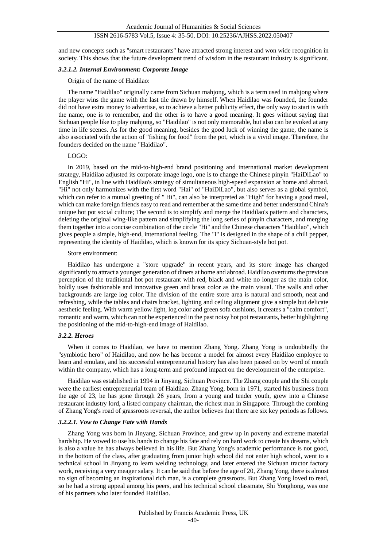and new concepts such as "smart restaurants" have attracted strong interest and won wide recognition in society. This shows that the future development trend of wisdom in the restaurant industry is significant.

#### *3.2.1.2. Internal Environment: Corporate Image*

Origin of the name of Haidilao:

The name "Haidilao" originally came from Sichuan mahjong, which is a term used in mahjong where the player wins the game with the last tile drawn by himself. When Haidilao was founded, the founder did not have extra money to advertise, so to achieve a better publicity effect, the only way to start is with the name, one is to remember, and the other is to have a good meaning. It goes without saying that Sichuan people like to play mahjong, so "Haidilao" is not only memorable, but also can be evoked at any time in life scenes. As for the good meaning, besides the good luck of winning the game, the name is also associated with the action of "fishing for food" from the pot, which is a vivid image. Therefore, the founders decided on the name "Haidilao".

#### LOGO:

In 2019, based on the mid-to-high-end brand positioning and international market development strategy, Haidilao adjusted its corporate image logo, one is to change the Chinese pinyin "HaiDiLao" to English "Hi", in line with Haidilao's strategy of simultaneous high-speed expansion at home and abroad. "Hi" not only harmonizes with the first word "Hai" of "HaiDiLao", but also serves as a global symbol, which can refer to a mutual greeting of " Hi", can also be interpreted as "High" for having a good meal, which can make foreign friends easy to read and remember at the same time and better understand China's unique hot pot social culture; The second is to simplify and merge the Haidilao's pattern and characters, deleting the original wing-like pattern and simplifying the long series of pinyin characters, and merging them together into a concise combination of the circle "Hi" and the Chinese characters "Haidilao", which gives people a simple, high-end, international feeling. The "i" is designed in the shape of a chili pepper, representing the identity of Haidilao, which is known for its spicy Sichuan-style hot pot.

#### Store environment:

Haidilao has undergone a "store upgrade" in recent years, and its store image has changed significantly to attract a younger generation of diners at home and abroad. Haidilao overturns the previous perception of the traditional hot pot restaurant with red, black and white no longer as the main color, boldly uses fashionable and innovative green and brass color as the main visual. The walls and other backgrounds are large log color. The division of the entire store area is natural and smooth, neat and refreshing, while the tables and chairs bracket, lighting and ceiling alignment give a simple but delicate aesthetic feeling. With warm yellow light, log color and green sofa cushions, it creates a "calm comfort", romantic and warm, which can not be experienced in the past noisy hot pot restaurants, better highlighting the positioning of the mid-to-high-end image of Haidilao.

#### *3.2.2. Heroes*

When it comes to Haidilao, we have to mention Zhang Yong. Zhang Yong is undoubtedly the "symbiotic hero" of Haidilao, and now he has become a model for almost every Haidilao employee to learn and emulate, and his successful entrepreneurial history has also been passed on by word of mouth within the company, which has a long-term and profound impact on the development of the enterprise.

Haidilao was established in 1994 in Jinyang, Sichuan Province. The Zhang couple and the Shi couple were the earliest entrepreneurial team of Haidilao. Zhang Yong, born in 1971, started his business from the age of 23, he has gone through 26 years, from a young and tender youth, grew into a Chinese restaurant industry lord, a listed company chairman, the richest man in Singapore. Through the combing of Zhang Yong's road of grassroots reversal, the author believes that there are six key periods as follows.

## *3.2.2.1. Vow to Change Fate with Hands*

Zhang Yong was born in Jinyang, Sichuan Province, and grew up in poverty and extreme material hardship. He vowed to use his hands to change his fate and rely on hard work to create his dreams, which is also a value he has always believed in his life. But Zhang Yong's academic performance is not good, in the bottom of the class, after graduating from junior high school did not enter high school, went to a technical school in Jinyang to learn welding technology, and later entered the Sichuan tractor factory work, receiving a very meager salary. It can be said that before the age of 20, Zhang Yong, there is almost no sign of becoming an inspirational rich man, is a complete grassroots. But Zhang Yong loved to read, so he had a strong appeal among his peers, and his technical school classmate, Shi Yonghong, was one of his partners who later founded Haidilao.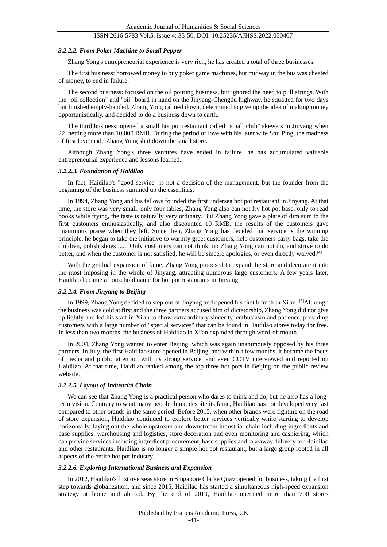#### *3.2.2.2. From Poker Machine to Small Pepper*

Zhang Yong's entrepreneurial experience is very rich, he has created a total of three businesses.

The first business: borrowed money to buy poker game machines, but midway in the bus was cheated of money, to end in failure.

The second business: focused on the oil pouring business, but ignored the need to pull strings. With the "oil collection" and "oil" board in hand on the Jinyang-Chengdu highway, he squatted for two days but finished empty-handed. Zhang Yong calmed down, determined to give up the idea of making money opportunistically, and decided to do a business down to earth.

The third business: opened a small hot pot restaurant called "small chili" skewers in Jinyang when 22, netting more than 10,000 RMB. During the period of love with his later wife Shu Ping, the madness of first love made Zhang Yong shut down the small store.

Although Zhang Yong's three ventures have ended in failure, he has accumulated valuable entrepreneurial experience and lessons learned.

#### *3.2.2.3. Foundation of Haidilao*

In fact, Haidilao's "good service" is not a decision of the management, but the founder from the beginning of the business summed up the essentials.

In 1994, Zhang Yong and his fellows founded the first undersea hot pot restaurant in Jinyang. At that time, the store was very small, only four tables, Zhang Yong also can not fry hot pot base, only to read books while frying, the taste is naturally very ordinary. But Zhang Yong gave a plate of dim sum to the first customers enthusiastically, and also discounted 10 RMB, the results of the customers gave unanimous praise when they left. Since then, Zhang Yong has decided that service is the winning principle, he began to take the initiative to warmly greet customers, help customers carry bags, take the children, polish shoes ...... Only customers can not think, no Zhang Yong can not do, and strive to do better, and when the customer is not satisfied, he will be sincere apologies, or even directly waived.<sup>[4]</sup>

With the gradual expansion of fame, Zhang Yong proposed to expand the store and decorate it into the most imposing in the whole of Jinyang, attracting numerous large customers. A few years later, Haidilao became a household name for hot pot restaurants in Jinyang.

#### *3.2.2.4. From Jinyang to Beijing*

In 1999, Zhang Yong decided to step out of Jinyang and opened his first branch in Xi'an. [5]Although the business was cold at first and the three partners accused him of dictatorship, Zhang Yong did not give up lightly and led his staff in Xi'an to show extraordinary sincerity, enthusiasm and patience, providing customers with a large number of "special services" that can be found in Haidilao stores today for free. In less than two months, the business of Haidilao in Xi'an exploded through word-of-mouth.

In 2004, Zhang Yong wanted to enter Beijing, which was again unanimously opposed by his three partners. In July, the first Haidilao store opened in Beijing, and within a few months, it became the focus of media and public attention with its strong service, and even CCTV interviewed and reported on Haidilao. At that time, Haidilao ranked among the top three hot pots in Beijing on the public review website.

#### *3.2.2.5. Layout of Industrial Chain*

We can see that Zhang Yong is a practical person who dares to think and do, but he also has a longterm vision. Contrary to what many people think, despite its fame, Haidilao has not developed very fast compared to other brands in the same period. Before 2015, when other brands were fighting on the road of store expansion, Haidilao continued to explore better services vertically while starting to develop horizontally, laying out the whole upstream and downstream industrial chain including ingredients and base supplies, warehousing and logistics, store decoration and even monitoring and cashiering, which can provide services including ingredient procurement, base supplies and takeaway delivery for Haidilao and other restaurants. Haidilao is no longer a simple hot pot restaurant, but a large group rooted in all aspects of the entire hot pot industry.

#### *3.2.2.6. Exploring International Business and Expansion*

In 2012, Haidilao's first overseas store in Singapore Clarke Quay opened for business, taking the first step towards globalization, and since 2015, Haidilao has started a simultaneous high-speed expansion strategy at home and abroad. By the end of 2019, Haidilao operated more than 700 stores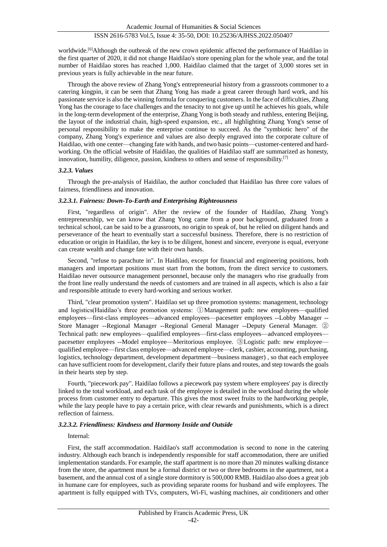worldwide.<sup>[6]</sup>Although the outbreak of the new crown epidemic affected the performance of Haidilao in the first quarter of 2020, it did not change Haidilao's store opening plan for the whole year, and the total number of Haidilao stores has reached 1,000. Haidilao claimed that the target of 3,000 stores set in previous years is fully achievable in the near future.

Through the above review of Zhang Yong's entrepreneurial history from a grassroots commoner to a catering kingpin, it can be seen that Zhang Yong has made a great career through hard work, and his passionate service is also the winning formula for conquering customers. In the face of difficulties, Zhang Yong has the courage to face challenges and the tenacity to not give up until he achieves his goals, while in the long-term development of the enterprise, Zhang Yong is both steady and ruthless, entering Beijing, the layout of the industrial chain, high-speed expansion, etc., all highlighting Zhang Yong's sense of personal responsibility to make the enterprise continue to succeed. As the "symbiotic hero" of the company, Zhang Yong's experience and values are also deeply engraved into the corporate culture of Haidilao, with one center—changing fate with hands, and two basic points—customer-centered and hardworking. On the official website of Haidilao, the qualities of Haidilao staff are summarized as honesty, innovation, humility, diligence, passion, kindness to others and sense of responsibility.[7]

#### *3.2.3. Values*

Through the pre-analysis of Haidilao, the author concluded that Haidilao has three core values of fairness, friendliness and innovation.

#### *3.2.3.1. Fairness: Down-To-Earth and Enterprising Righteousness*

First, "regardless of origin". After the review of the founder of Haidilao, Zhang Yong's entrepreneurship, we can know that Zhang Yong came from a poor background, graduated from a technical school, can be said to be a grassroots, no origin to speak of, but he relied on diligent hands and perseverance of the heart to eventually start a successful business. Therefore, there is no restriction of education or origin in Haidilao, the key is to be diligent, honest and sincere, everyone is equal, everyone can create wealth and change fate with their own hands.

Second, "refuse to parachute in". In Haidilao, except for financial and engineering positions, both managers and important positions must start from the bottom, from the direct service to customers. Haidilao never outsource management personnel, because only the managers who rise gradually from the front line really understand the needs of customers and are trained in all aspects, which is also a fair and responsible attitude to every hard-working and serious worker.

Third, "clear promotion system". Haidilao set up three promotion systems: management, technology and logistics(Haidilao's three promotion systems: ①Management path: new employees—qualified employees—first-class employees—advanced employees—pacesetter employees --Lobby Manager -- Store Manager --Regional Manager --Regional General Manager --Deputy General Manager. ② Technical path: new employees—qualified employees—first-class employees—advanced employees pacesetter employees --Model employee—Meritorious employee. ③Logistic path: new employee qualified employee—first class employee—advanced employee—clerk, cashier, accounting, purchasing, logistics, technology department, development department—business manager) , so that each employee can have sufficient room for development, clarify their future plans and routes, and step towards the goals in their hearts step by step.

Fourth, "piecework pay". Haidilao follows a piecework pay system where employees' pay is directly linked to the total workload, and each task of the employee is detailed in the workload during the whole process from customer entry to departure. This gives the most sweet fruits to the hardworking people, while the lazy people have to pay a certain price, with clear rewards and punishments, which is a direct reflection of fairness.

#### *3.2.3.2. Friendliness: Kindness and Harmony Inside and Outside*

#### Internal:

First, the staff accommodation. Haidilao's staff accommodation is second to none in the catering industry. Although each branch is independently responsible for staff accommodation, there are unified implementation standards. For example, the staff apartment is no more than 20 minutes walking distance from the store, the apartment must be a formal district or two or three bedrooms in the apartment, not a basement, and the annual cost of a single store dormitory is 500,000 RMB. Haidilao also does a great job in humane care for employees, such as providing separate rooms for husband and wife employees. The apartment is fully equipped with TVs, computers, Wi-Fi, washing machines, air conditioners and other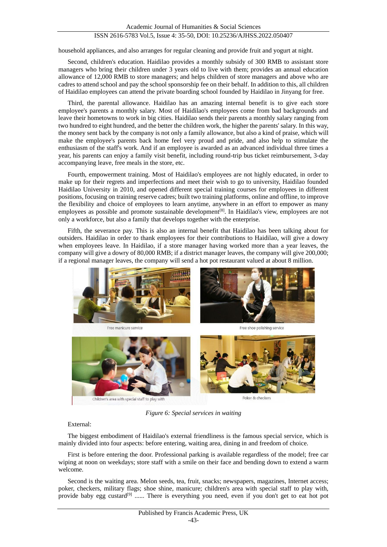household appliances, and also arranges for regular cleaning and provide fruit and yogurt at night.

Second, children's education. Haidilao provides a monthly subsidy of 300 RMB to assistant store managers who bring their children under 3 years old to live with them; provides an annual education allowance of 12,000 RMB to store managers; and helps children of store managers and above who are cadres to attend school and pay the school sponsorship fee on their behalf. In addition to this, all children of Haidilao employees can attend the private boarding school founded by Haidilao in Jinyang for free.

Third, the parental allowance. Haidilao has an amazing internal benefit is to give each store employee's parents a monthly salary. Most of Haidilao's employees come from bad backgrounds and leave their hometowns to work in big cities. Haidilao sends their parents a monthly salary ranging from two hundred to eight hundred, and the better the children work, the higher the parents' salary. In this way, the money sent back by the company is not only a family allowance, but also a kind of praise, which will make the employee's parents back home feel very proud and pride, and also help to stimulate the enthusiasm of the staff's work. And if an employee is awarded as an advanced individual three times a year, his parents can enjoy a family visit benefit, including round-trip bus ticket reimbursement, 3-day accompanying leave, free meals in the store, etc.

Fourth, empowerment training. Most of Haidilao's employees are not highly educated, in order to make up for their regrets and imperfections and meet their wish to go to university, Haidilao founded Haidilao University in 2010, and opened different special training courses for employees in different positions, focusing on training reserve cadres; built two training platforms, online and offline, to improve the flexibility and choice of employees to learn anytime, anywhere in an effort to empower as many employees as possible and promote sustainable development<sup>[8]</sup>. In Haidilao's view, employees are not only a workforce, but also a family that develops together with the enterprise.

Fifth, the severance pay. This is also an internal benefit that Haidilao has been talking about for outsiders. Haidilao in order to thank employees for their contributions to Haidilao, will give a dowry when employees leave. In Haidilao, if a store manager having worked more than a year leaves, the company will give a dowry of 80,000 RMB; if a district manager leaves, the company will give 200,000; if a regional manager leaves, the company will send a hot pot restaurant valued at about 8 million.



*Figure 6: Special services in waiting*

External:

The biggest embodiment of Haidilao's external friendliness is the famous special service, which is mainly divided into four aspects: before entering, waiting area, dining in and freedom of choice.

First is before entering the door. Professional parking is available regardless of the model; free car wiping at noon on weekdays; store staff with a smile on their face and bending down to extend a warm welcome.

Second is the waiting area. Melon seeds, tea, fruit, snacks; newspapers, magazines, Internet access; poker, checkers, military flags; shoe shine, manicure; children's area with special staff to play with, provide baby egg custard<sup>[9]</sup> ...... There is everything you need, even if you don't get to eat hot pot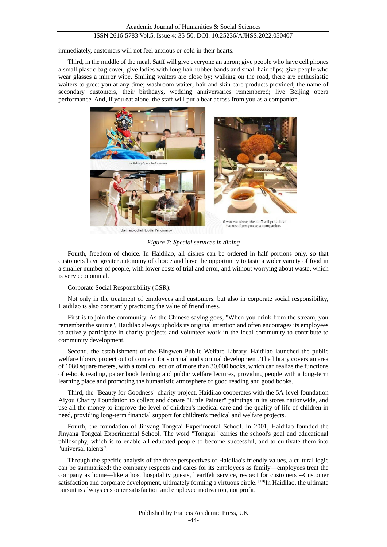immediately, customers will not feel anxious or cold in their hearts.

Third, in the middle of the meal. Satff will give everyone an apron; give people who have cell phones a small plastic bag cover; give ladies with long hair rubber bands and small hair clips; give people who wear glasses a mirror wipe. Smiling waiters are close by; walking on the road, there are enthusiastic waiters to greet you at any time; washroom waiter; hair and skin care products provided; the name of secondary customers, their birthdays, wedding anniversaries remembered; live Beijing opera performance. And, if you eat alone, the staff will put a bear across from you as a companion.



*Figure 7: Special services in dining*

Fourth, freedom of choice. In Haidilao, all dishes can be ordered in half portions only, so that customers have greater autonomy of choice and have the opportunity to taste a wider variety of food in a smaller number of people, with lower costs of trial and error, and without worrying about waste, which is very economical.

Corporate Social Responsibility (CSR):

Not only in the treatment of employees and customers, but also in corporate social responsibility, Haidilao is also constantly practicing the value of friendliness.

First is to join the community. As the Chinese saying goes, "When you drink from the stream, you remember the source", Haidilao always upholds its original intention and often encourages its employees to actively participate in charity projects and volunteer work in the local community to contribute to community development.

Second, the establishment of the Bingwen Public Welfare Library. Haidilao launched the public welfare library project out of concern for spiritual and spiritual development. The library covers an area of 1080 square meters, with a total collection of more than 30,000 books, which can realize the functions of e-book reading, paper book lending and public welfare lectures, providing people with a long-term learning place and promoting the humanistic atmosphere of good reading and good books.

Third, the "Beauty for Goodness" charity project. Haidilao cooperates with the 5A-level foundation Aiyou Charity Foundation to collect and donate "Little Painter" paintings in its stores nationwide, and use all the money to improve the level of children's medical care and the quality of life of children in need, providing long-term financial support for children's medical and welfare projects.

Fourth, the foundation of Jinyang Tongcai Experimental School. In 2001, Haidilao founded the Jinyang Tongcai Experimental School. The word "Tongcai" carries the school's goal and educational philosophy, which is to enable all educated people to become successful, and to cultivate them into "universal talents".

Through the specific analysis of the three perspectives of Haidilao's friendly values, a cultural logic can be summarized: the company respects and cares for its employees as family—employees treat the company as home—like a host hospitality guests, heartfelt service, respect for customers --Customer satisfaction and corporate development, ultimately forming a virtuous circle. [10]In Haidilao, the ultimate pursuit is always customer satisfaction and employee motivation, not profit.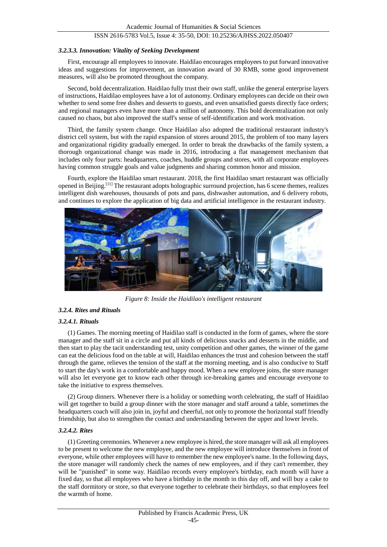#### *3.2.3.3. Innovation: Vitality of Seeking Development*

First, encourage all employees to innovate. Haidilao encourages employees to put forward innovative ideas and suggestions for improvement, an innovation award of 30 RMB, some good improvement measures, will also be promoted throughout the company.

Second, bold decentralization. Haidilao fully trust their own staff, unlike the general enterprise layers of instructions, Haidilao employees have a lot of autonomy. Ordinary employees can decide on their own whether to send some free dishes and desserts to guests, and even unsatisfied guests directly face orders; and regional managers even have more than a million of autonomy. This bold decentralization not only caused no chaos, but also improved the staff's sense of self-identification and work motivation.

Third, the family system change. Once Haidilao also adopted the traditional restaurant industry's district cell system, but with the rapid expansion of stores around 2015, the problem of too many layers and organizational rigidity gradually emerged. In order to break the drawbacks of the family system, a thorough organizational change was made in 2016, introducing a flat management mechanism that includes only four parts: headquarters, coaches, huddle groups and stores, with all corporate employees having common struggle goals and value judgments and sharing common honor and mission.

Fourth, explore the Haidilao smart restaurant. 2018, the first Haidilao smart restaurant was officially opened in Beijing.[11] The restaurant adopts holographic surround projection, has 6 scene themes, realizes intelligent dish warehouses, thousands of pots and pans, dishwasher automation, and 6 delivery robots, and continues to explore the application of big data and artificial intelligence in the restaurant industry.



*Figure 8: Inside the Haidilao's intelligent restaurant*

#### *3.2.4. Rites and Rituals*

#### *3.2.4.1. Rituals*

(1) Games. The morning meeting of Haidilao staff is conducted in the form of games, where the store manager and the staff sit in a circle and put all kinds of delicious snacks and desserts in the middle, and then start to play the tacit understanding test, unity competition and other games, the winner of the game can eat the delicious food on the table at will, Haidilao enhances the trust and cohesion between the staff through the game, relieves the tension of the staff at the morning meeting, and is also conducive to Staff to start the day's work in a comfortable and happy mood. When a new employee joins, the store manager will also let everyone get to know each other through ice-breaking games and encourage everyone to take the initiative to express themselves.

(2) Group dinners. Whenever there is a holiday or something worth celebrating, the staff of Haidilao will get together to build a group dinner with the store manager and staff around a table, sometimes the headquarters coach will also join in, joyful and cheerful, not only to promote the horizontal staff friendly friendship, but also to strengthen the contact and understanding between the upper and lower levels.

#### *3.2.4.2. Rites*

(1) Greeting ceremonies. Whenever a new employee is hired, the store manager will ask all employees to be present to welcome the new employee, and the new employee will introduce themselves in front of everyone, while other employees will have to remember the new employee's name. In the following days, the store manager will randomly check the names of new employees, and if they can't remember, they will be "punished" in some way. Haidilao records every employee's birthday, each month will have a fixed day, so that all employees who have a birthday in the month in this day off, and will buy a cake to the staff dormitory or store, so that everyone together to celebrate their birthdays, so that employees feel the warmth of home.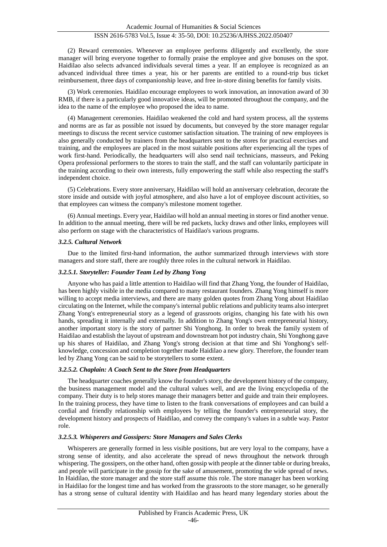(2) Reward ceremonies. Whenever an employee performs diligently and excellently, the store manager will bring everyone together to formally praise the employee and give bonuses on the spot. Haidilao also selects advanced individuals several times a year. If an employee is recognized as an advanced individual three times a year, his or her parents are entitled to a round-trip bus ticket reimbursement, three days of companionship leave, and free in-store dining benefits for family visits.

(3) Work ceremonies. Haidilao encourage employees to work innovation, an innovation award of 30 RMB, if there is a particularly good innovative ideas, will be promoted throughout the company, and the idea to the name of the employee who proposed the idea to name.

(4) Management ceremonies. Haidilao weakened the cold and hard system process, all the systems and norms are as far as possible not issued by documents, but conveyed by the store manager regular meetings to discuss the recent service customer satisfaction situation. The training of new employees is also generally conducted by trainers from the headquarters sent to the stores for practical exercises and training, and the employees are placed in the most suitable positions after experiencing all the types of work first-hand. Periodically, the headquarters will also send nail technicians, masseurs, and Peking Opera professional performers to the stores to train the staff, and the staff can voluntarily participate in the training according to their own interests, fully empowering the staff while also respecting the staff's independent choice.

(5) Celebrations. Every store anniversary, Haidilao will hold an anniversary celebration, decorate the store inside and outside with joyful atmosphere, and also have a lot of employee discount activities, so that employees can witness the company's milestone moment together.

(6) Annual meetings. Every year, Haidilao will hold an annual meeting in stores or find another venue. In addition to the annual meeting, there will be red packets, lucky draws and other links, employees will also perform on stage with the characteristics of Haidilao's various programs.

#### *3.2.5. Cultural Network*

Due to the limited first-hand information, the author summarized through interviews with store managers and store staff, there are roughly three roles in the cultural network in Haidilao.

#### *3.2.5.1. Storyteller: Founder Team Led by Zhang Yong*

Anyone who has paid a little attention to Haidilao will find that Zhang Yong, the founder of Haidilao, has been highly visible in the media compared to many restaurant founders. Zhang Yong himself is more willing to accept media interviews, and there are many golden quotes from Zhang Yong about Haidilao circulating on the Internet, while the company's internal public relations and publicity teams also interpret Zhang Yong's entrepreneurial story as a legend of grassroots origins, changing his fate with his own hands, spreading it internally and externally. In addition to Zhang Yong's own entrepreneurial history, another important story is the story of partner Shi Yonghong. In order to break the family system of Haidilao and establish the layout of upstream and downstream hot pot industry chain, Shi Yonghong gave up his shares of Haidilao, and Zhang Yong's strong decision at that time and Shi Yonghong's selfknowledge, concession and completion together made Haidilao a new glory. Therefore, the founder team led by Zhang Yong can be said to be storytellers to some extent.

#### *3.2.5.2. Chaplain: A Coach Sent to the Store from Headquarters*

The headquarter coaches generally know the founder's story, the development history of the company, the business management model and the cultural values well, and are the living encyclopedia of the company. Their duty is to help stores manage their managers better and guide and train their employees. In the training process, they have time to listen to the frank conversations of employees and can build a cordial and friendly relationship with employees by telling the founder's entrepreneurial story, the development history and prospects of Haidilao, and convey the company's values in a subtle way. Pastor role.

#### *3.2.5.3. Whisperers and Gossipers: Store Managers and Sales Clerks*

Whisperers are generally formed in less visible positions, but are very loyal to the company, have a strong sense of identity, and also accelerate the spread of news throughout the network through whispering. The gossipers, on the other hand, often gossip with people at the dinner table or during breaks, and people will participate in the gossip for the sake of amusement, promoting the wide spread of news. In Haidilao, the store manager and the store staff assume this role. The store manager has been working in Haidilao for the longest time and has worked from the grassroots to the store manager, so he generally has a strong sense of cultural identity with Haidilao and has heard many legendary stories about the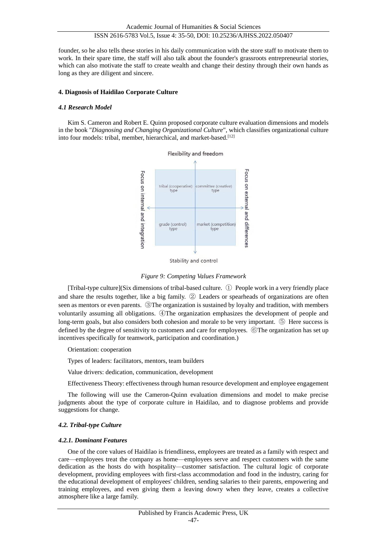founder, so he also tells these stories in his daily communication with the store staff to motivate them to work. In their spare time, the staff will also talk about the founder's grassroots entrepreneurial stories, which can also motivate the staff to create wealth and change their destiny through their own hands as long as they are diligent and sincere.

#### **4. Diagnosis of Haidilao Corporate Culture**

#### *4.1 Research Model*

Kim S. Cameron and Robert E. Quinn proposed corporate culture evaluation dimensions and models in the book "*Diagnosing and Changing Organizational Culture*", which classifies organizational culture into four models: tribal, member, hierarchical, and market-based.[12]



Stability and control

## *Figure 9: Competing Values Framework*

[Tribal-type culture](Six dimensions of tribal-based culture. ① People work in a very friendly place and share the results together, like a big family. ② Leaders or spearheads of organizations are often seen as mentors or even parents. ③The organization is sustained by loyalty and tradition, with members voluntarily assuming all obligations. ④The organization emphasizes the development of people and long-term goals, but also considers both cohesion and morale to be very important. ⑤ Here success is defined by the degree of sensitivity to customers and care for employees. ⑥The organization has set up incentives specifically for teamwork, participation and coordination.)

#### Orientation: cooperation

Types of leaders: facilitators, mentors, team builders

Value drivers: dedication, communication, development

Effectiveness Theory: effectiveness through human resource development and employee engagement

The following will use the Cameron-Quinn evaluation dimensions and model to make precise judgments about the type of corporate culture in Haidilao, and to diagnose problems and provide suggestions for change.

## *4.2. Tribal-type Culture*

#### *4.2.1. Dominant Features*

One of the core values of Haidilao is friendliness, employees are treated as a family with respect and care—employees treat the company as home—employees serve and respect customers with the same dedication as the hosts do with hospitality—customer satisfaction. The cultural logic of corporate development, providing employees with first-class accommodation and food in the industry, caring for the educational development of employees' children, sending salaries to their parents, empowering and training employees, and even giving them a leaving dowry when they leave, creates a collective atmosphere like a large family.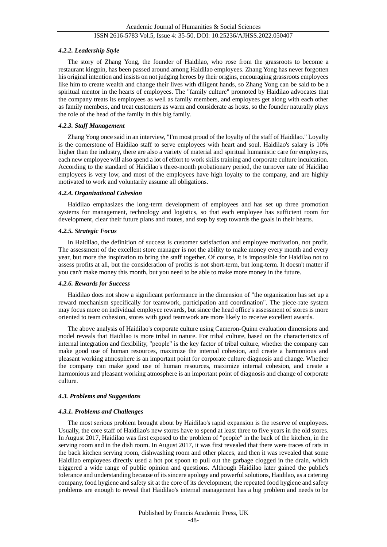## *4.2.2. Leadership Style*

The story of Zhang Yong, the founder of Haidilao, who rose from the grassroots to become a restaurant kingpin, has been passed around among Haidilao employees. Zhang Yong has never forgotten his original intention and insists on not judging heroes by their origins, encouraging grassroots employees like him to create wealth and change their lives with diligent hands, so Zhang Yong can be said to be a spiritual mentor in the hearts of employees. The "family culture" promoted by Haidilao advocates that the company treats its employees as well as family members, and employees get along with each other as family members, and treat customers as warm and considerate as hosts, so the founder naturally plays the role of the head of the family in this big family.

## *4.2.3. Staff Management*

Zhang Yong once said in an interview, "I'm most proud of the loyalty of the staff of Haidilao." Loyalty is the cornerstone of Haidilao staff to serve employees with heart and soul. Haidilao's salary is 10% higher than the industry, there are also a variety of material and spiritual humanistic care for employees, each new employee will also spend a lot of effort to work skills training and corporate culture inculcation. According to the standard of Haidilao's three-month probationary period, the turnover rate of Haidilao employees is very low, and most of the employees have high loyalty to the company, and are highly motivated to work and voluntarily assume all obligations.

#### *4.2.4. Organizational Cohesion*

Haidilao emphasizes the long-term development of employees and has set up three promotion systems for management, technology and logistics, so that each employee has sufficient room for development, clear their future plans and routes, and step by step towards the goals in their hearts.

## *4.2.5. Strategic Focus*

In Haidilao, the definition of success is customer satisfaction and employee motivation, not profit. The assessment of the excellent store manager is not the ability to make money every month and every year, but more the inspiration to bring the staff together. Of course, it is impossible for Haidilao not to assess profits at all, but the consideration of profits is not short-term, but long-term. It doesn't matter if you can't make money this month, but you need to be able to make more money in the future.

#### *4.2.6. Rewards for Success*

Haidilao does not show a significant performance in the dimension of "the organization has set up a reward mechanism specifically for teamwork, participation and coordination". The piece-rate system may focus more on individual employee rewards, but since the head office's assessment of stores is more oriented to team cohesion, stores with good teamwork are more likely to receive excellent awards.

The above analysis of Haidilao's corporate culture using Cameron-Quinn evaluation dimensions and model reveals that Haidilao is more tribal in nature. For tribal culture, based on the characteristics of internal integration and flexibility, "people" is the key factor of tribal culture, whether the company can make good use of human resources, maximize the internal cohesion, and create a harmonious and pleasant working atmosphere is an important point for corporate culture diagnosis and change. Whether the company can make good use of human resources, maximize internal cohesion, and create a harmonious and pleasant working atmosphere is an important point of diagnosis and change of corporate culture.

## *4.3. Problems and Suggestions*

#### *4.3.1. Problems and Challenges*

The most serious problem brought about by Haidilao's rapid expansion is the reserve of employees. Usually, the core staff of Haidilao's new stores have to spend at least three to five years in the old stores. In August 2017, Haidilao was first exposed to the problem of "people" in the back of the kitchen, in the serving room and in the dish room. In August 2017, it was first revealed that there were traces of rats in the back kitchen serving room, dishwashing room and other places, and then it was revealed that some Haidilao employees directly used a hot pot spoon to pull out the garbage clogged in the drain, which triggered a wide range of public opinion and questions. Although Haidilao later gained the public's tolerance and understanding because of its sincere apology and powerful solutions, Haidilao, as a catering company, food hygiene and safety sit at the core of its development, the repeated food hygiene and safety problems are enough to reveal that Haidilao's internal management has a big problem and needs to be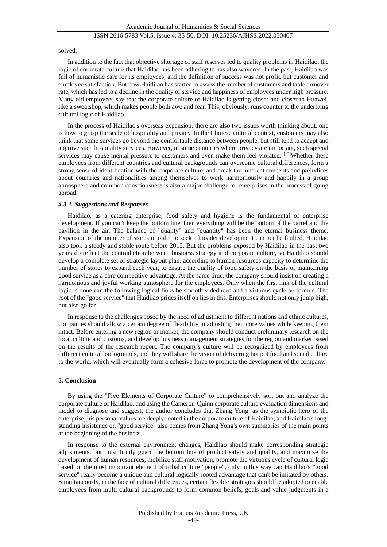#### solved.

In addition to the fact that objective shortage of staff reserves led to quality problems in Haidilao, the logic of corporate culture that Haidilao has been adhering to has also wavered. In the past, Haidilao was full of humanistic care for its employees, and the definition of success was not profit, but customer and employee satisfaction. But now Haidilao has started to assess the number of customers and table turnover rate, which has led to a decline in the quality of service and happiness of employees under high pressure. Many old employees say that the corporate culture of Haidilao is getting closer and closer to Huawei, like a sweatshop, which makes people both awe and fear. This, obviously, runs counter to the underlying cultural logic of Haidilao.

In the process of Haidilao's overseas expansion, there are also two issues worth thinking about, one is how to grasp the scale of hospitality and privacy. In the Chinese cultural context, customers may also think that some services go beyond the comfortable distance between people, but still tend to accept and approve such hospitality services. However, in some countries where privacy are important, such special services may cause mental pressure to customers and even make them feel violated. <sup>[13]</sup>Whether these employees from different countries and cultural backgrounds can overcome cultural differences, form a strong sense of identification with the corporate culture, and break the inherent concepts and prejudices about countries and nationalities among themselves to work harmoniously and happily in a group atmosphere and common consciousness is also a major challenge for enterprises in the process of going abroad.

#### *4.3.2. Suggestions and Responses*

Haidilao, as a catering enterprise, food safety and hygiene is the fundamental of enterprise development. If you can't keep the bottom line, then everything will be the bottom of the barrel and the pavilion in the air. The balance of "quality" and "quantity" has been the eternal business theme. Expansion of the number of stores in order to seek a broader development can not be faulted, Haidilao also took a steady and stable route before 2015. But the problems exposed by Haidilao in the past two years do reflect the contradiction between business strategy and corporate culture, so Haidilao should develop a complete set of strategic layout plan, according to human resources capacity to determine the number of stores to expand each year, to ensure the quality of food safety on the basis of maintaining good service as a core competitive advantage. At the same time, the company should insist on creating a harmonious and joyful working atmosphere for the employees. Only when the first link of the cultural logic is done can the following logical links be smoothly deduced and a virtuous cycle be formed. The root of the "good service" that Haidilao prides itself on lies in this. Enterprises should not only jump high, but also go far.

In response to the challenges posed by the need of adjustment to different nations and ethnic cultures, companies should allow a certain degree of flexibility in adjusting their core values while keeping them intact. Before entering a new region or market, the company should conduct preliminary research on the local culture and customs, and develop business management strategies for the region and market based on the results of the research report. The company's culture will be recognized by employees from different cultural backgrounds, and they will share the vision of delivering hot pot food and social culture to the world, which will eventually form a cohesive force to promote the development of the company.

#### **5. Conclusion**

By using the "Five Elements of Corporate Culture" to comprehensively sort out and analyze the corporate culture of Haidilao, and using the Cameron-Quinn corporate culture evaluation dimensions and model to diagnose and suggest, the author concludes that Zhang Yong, as the symbiotic hero of the enterprise, his personal values are deeply rooted in the corporate culture of Haidilao, and Haidilao's longstanding insistence on "good service" also comes from Zhang Yong's own summaries of the main points at the beginning of the business.

In response to the external environment changes, Haidilao should make corresponding strategic adjustments, but must firmly guard the bottom line of product safety and quality, and maximize the development of human resources, mobilize staff motivation, promote the virtuous cycle of cultural logic based on the most important element of tribal culture "people", only in this way can Haidilao's "good service" really become a unique and cultural logically rooted advantage that can't be imitated by others. Simultaneously, in the face of cultural differences, certain flexible strategies should be adopted to enable employees from multi-cultural backgrounds to form common beliefs, goals and value judgments in a